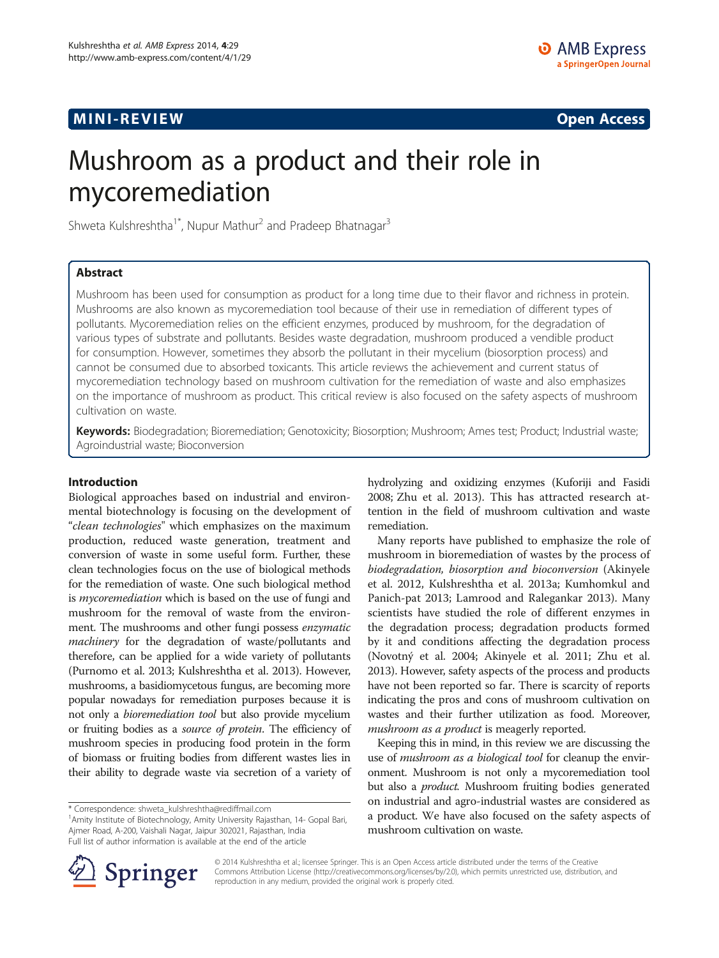# **MINI-REVIEW CONSULTATION CONSULTATION CONSULTATION COPEN ACCESS**

# Mushroom as a product and their role in mycoremediation

Shweta Kulshreshtha<sup>1\*</sup>, Nupur Mathur<sup>2</sup> and Pradeep Bhatnagar<sup>3</sup>

# Abstract

Mushroom has been used for consumption as product for a long time due to their flavor and richness in protein. Mushrooms are also known as mycoremediation tool because of their use in remediation of different types of pollutants. Mycoremediation relies on the efficient enzymes, produced by mushroom, for the degradation of various types of substrate and pollutants. Besides waste degradation, mushroom produced a vendible product for consumption. However, sometimes they absorb the pollutant in their mycelium (biosorption process) and cannot be consumed due to absorbed toxicants. This article reviews the achievement and current status of mycoremediation technology based on mushroom cultivation for the remediation of waste and also emphasizes on the importance of mushroom as product. This critical review is also focused on the safety aspects of mushroom cultivation on waste.

Keywords: Biodegradation; Bioremediation; Genotoxicity; Biosorption; Mushroom; Ames test; Product; Industrial waste; Agroindustrial waste; Bioconversion

# Introduction

Biological approaches based on industrial and environmental biotechnology is focusing on the development of "clean technologies" which emphasizes on the maximum production, reduced waste generation, treatment and conversion of waste in some useful form. Further, these clean technologies focus on the use of biological methods for the remediation of waste. One such biological method is mycoremediation which is based on the use of fungi and mushroom for the removal of waste from the environment. The mushrooms and other fungi possess *enzymatic* machinery for the degradation of waste/pollutants and therefore, can be applied for a wide variety of pollutants (Purnomo et al. [2013](#page-6-0); Kulshreshtha et al. [2013\)](#page-5-0). However, mushrooms, a basidiomycetous fungus, are becoming more popular nowadays for remediation purposes because it is not only a bioremediation tool but also provide mycelium or fruiting bodies as a source of protein. The efficiency of mushroom species in producing food protein in the form of biomass or fruiting bodies from different wastes lies in their ability to degrade waste via secretion of a variety of

\* Correspondence: [shweta\\_kulshreshtha@rediffmail.com](mailto:shweta_kulshreshtha@rediffmail.com) <sup>1</sup>

<sup>1</sup> Amity Institute of Biotechnology, Amity University Rajasthan, 14- Gopal Bari, Ajmer Road, A-200, Vaishali Nagar, Jaipur 302021, Rajasthan, India Full list of author information is available at the end of the article

hydrolyzing and oxidizing enzymes (Kuforiji and Fasidi [2008;](#page-5-0) Zhu et al. [2013](#page-6-0)). This has attracted research attention in the field of mushroom cultivation and waste remediation.

Many reports have published to emphasize the role of mushroom in bioremediation of wastes by the process of biodegradation, biosorption and bioconversion (Akinyele et al. [2012](#page-5-0), Kulshreshtha et al. [2013a;](#page-5-0) Kumhomkul and Panich-pat [2013](#page-6-0); Lamrood and Ralegankar [2013](#page-6-0)). Many scientists have studied the role of different enzymes in the degradation process; degradation products formed by it and conditions affecting the degradation process (Novotný et al. [2004;](#page-6-0) Akinyele et al. [2011;](#page-5-0) Zhu et al. [2013\)](#page-6-0). However, safety aspects of the process and products have not been reported so far. There is scarcity of reports indicating the pros and cons of mushroom cultivation on wastes and their further utilization as food. Moreover, mushroom as a product is meagerly reported.

Keeping this in mind, in this review we are discussing the use of *mushroom as a biological tool* for cleanup the environment. Mushroom is not only a mycoremediation tool but also a *product*. Mushroom fruiting bodies generated on industrial and agro-industrial wastes are considered as a product. We have also focused on the safety aspects of mushroom cultivation on waste.



© 2014 Kulshreshtha et al.; licensee Springer. This is an Open Access article distributed under the terms of the Creative Commons Attribution License (<http://creativecommons.org/licenses/by/2.0>), which permits unrestricted use, distribution, and reproduction in any medium, provided the original work is properly cited.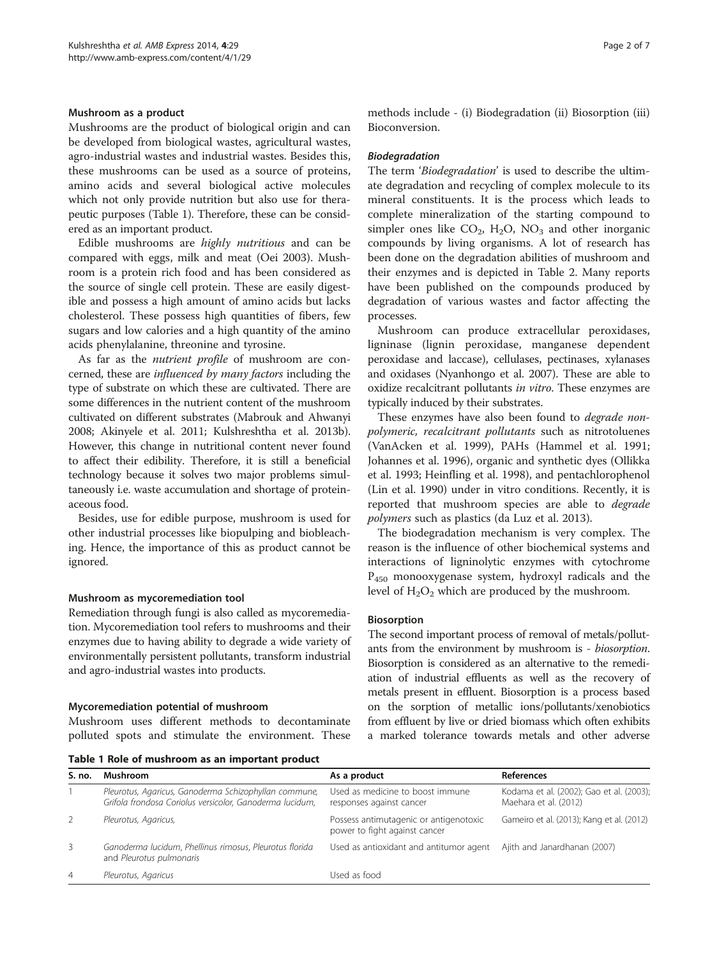# Mushroom as a product

Mushrooms are the product of biological origin and can be developed from biological wastes, agricultural wastes, agro-industrial wastes and industrial wastes. Besides this, these mushrooms can be used as a source of proteins, amino acids and several biological active molecules which not only provide nutrition but also use for therapeutic purposes (Table 1). Therefore, these can be considered as an important product.

Edible mushrooms are highly nutritious and can be compared with eggs, milk and meat (Oei [2003](#page-6-0)). Mushroom is a protein rich food and has been considered as the source of single cell protein. These are easily digestible and possess a high amount of amino acids but lacks cholesterol. These possess high quantities of fibers, few sugars and low calories and a high quantity of the amino acids phenylalanine, threonine and tyrosine.

As far as the nutrient profile of mushroom are concerned, these are influenced by many factors including the type of substrate on which these are cultivated. There are some differences in the nutrient content of the mushroom cultivated on different substrates (Mabrouk and Ahwanyi [2008;](#page-6-0) Akinyele et al. [2011](#page-5-0); Kulshreshtha et al. [2013b](#page-6-0)). However, this change in nutritional content never found to affect their edibility. Therefore, it is still a beneficial technology because it solves two major problems simultaneously i.e. waste accumulation and shortage of proteinaceous food.

Besides, use for edible purpose, mushroom is used for other industrial processes like biopulping and biobleaching. Hence, the importance of this as product cannot be ignored.

# Mushroom as mycoremediation tool

Remediation through fungi is also called as mycoremediation. Mycoremediation tool refers to mushrooms and their enzymes due to having ability to degrade a wide variety of environmentally persistent pollutants, transform industrial and agro-industrial wastes into products.

# Mycoremediation potential of mushroom

Mushroom uses different methods to decontaminate polluted spots and stimulate the environment. These methods include - (i) Biodegradation (ii) Biosorption (iii) Bioconversion.

## Biodegradation

The term 'Biodegradation' is used to describe the ultimate degradation and recycling of complex molecule to its mineral constituents. It is the process which leads to complete mineralization of the starting compound to simpler ones like  $CO<sub>2</sub>$ , H<sub>2</sub>O, NO<sub>3</sub> and other inorganic compounds by living organisms. A lot of research has been done on the degradation abilities of mushroom and their enzymes and is depicted in Table [2](#page-2-0). Many reports have been published on the compounds produced by degradation of various wastes and factor affecting the processes.

Mushroom can produce extracellular peroxidases, ligninase (lignin peroxidase, manganese dependent peroxidase and laccase), cellulases, pectinases, xylanases and oxidases (Nyanhongo et al. [2007](#page-6-0)). These are able to oxidize recalcitrant pollutants in vitro. These enzymes are typically induced by their substrates.

These enzymes have also been found to *degrade non*polymeric, recalcitrant pollutants such as nitrotoluenes (VanAcken et al. [1999\)](#page-6-0), PAHs (Hammel et al. [1991](#page-5-0); Johannes et al. [1996\)](#page-5-0), organic and synthetic dyes (Ollikka et al. [1993](#page-6-0); Heinfling et al. [1998](#page-5-0)), and pentachlorophenol (Lin et al. [1990](#page-6-0)) under in vitro conditions. Recently, it is reported that mushroom species are able to *degrade* polymers such as plastics (da Luz et al. [2013\)](#page-5-0).

The biodegradation mechanism is very complex. The reason is the influence of other biochemical systems and interactions of ligninolytic enzymes with cytochrome P450 monooxygenase system, hydroxyl radicals and the level of  $H_2O_2$  which are produced by the mushroom.

# Biosorption

The second important process of removal of metals/pollutants from the environment by mushroom is - biosorption. Biosorption is considered as an alternative to the remediation of industrial effluents as well as the recovery of metals present in effluent. Biosorption is a process based on the sorption of metallic ions/pollutants/xenobiotics from effluent by live or dried biomass which often exhibits a marked tolerance towards metals and other adverse

Table 1 Role of mushroom as an important product

|                | $1900$ T TOR OF HIGHINGTH 43 GH HILPOT GIRL PLOGUES                                                               |                                                                         |                                                                   |  |
|----------------|-------------------------------------------------------------------------------------------------------------------|-------------------------------------------------------------------------|-------------------------------------------------------------------|--|
| S. no.         | Mushroom                                                                                                          | As a product                                                            | <b>References</b>                                                 |  |
|                | Pleurotus, Agaricus, Ganoderma Schizophyllan commune,<br>Grifola frondosa Coriolus versicolor, Ganoderma lucidum, | Used as medicine to boost immune<br>responses against cancer            | Kodama et al. (2002); Gao et al. (2003);<br>Maehara et al. (2012) |  |
| $\mathcal{L}$  | Pleurotus, Agaricus,                                                                                              | Possess antimutagenic or antigenotoxic<br>power to fight against cancer | Gameiro et al. (2013); Kang et al. (2012)                         |  |
| 3              | Ganoderma lucidum, Phellinus rimosus, Pleurotus florida<br>and Pleurotus pulmonaris                               | Used as antioxidant and antitumor agent                                 | Ajith and Janardhanan (2007)                                      |  |
| $\overline{4}$ | Pleurotus, Agaricus                                                                                               | Used as food                                                            |                                                                   |  |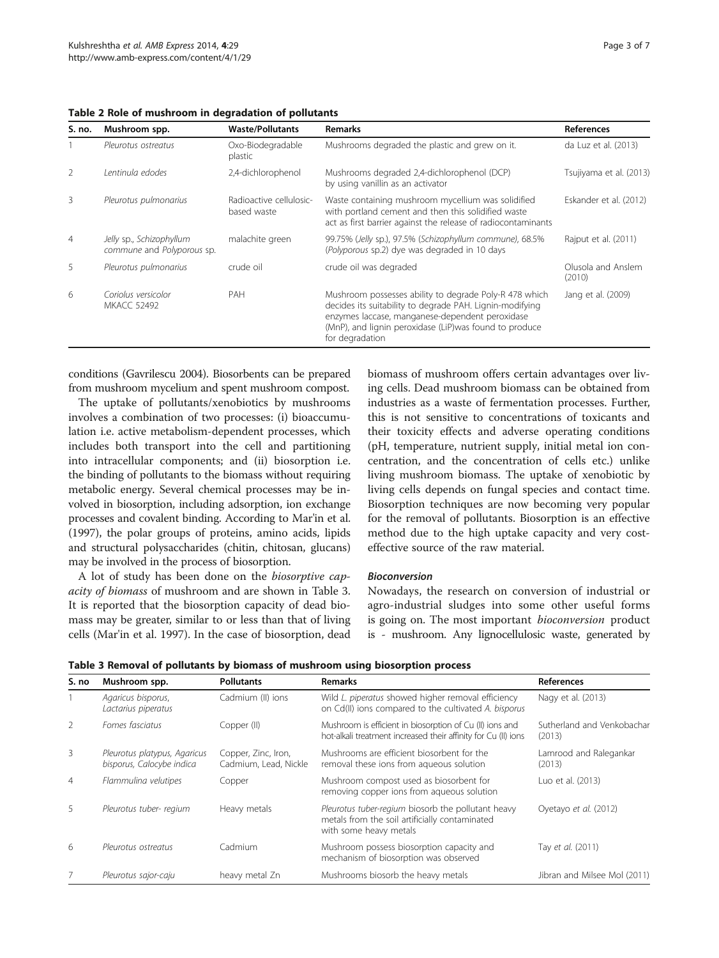<span id="page-2-0"></span>Table 2 Role of mushroom in degradation of pollutants

| S. no.         | Mushroom spp.                                          | <b>Waste/Pollutants</b>                | <b>Remarks</b>                                                                                                                                                                                                                                      | References                   |
|----------------|--------------------------------------------------------|----------------------------------------|-----------------------------------------------------------------------------------------------------------------------------------------------------------------------------------------------------------------------------------------------------|------------------------------|
|                | Pleurotus ostreatus                                    | Oxo-Biodegradable<br>plastic           | Mushrooms degraded the plastic and grew on it.                                                                                                                                                                                                      | da Luz et al. (2013)         |
| $\mathcal{P}$  | I entinula edodes                                      | 2,4-dichlorophenol                     | Mushrooms degraded 2,4-dichlorophenol (DCP)<br>by using vanillin as an activator                                                                                                                                                                    | Tsujiyama et al. (2013)      |
| 3              | Pleurotus pulmonarius                                  | Radioactive cellulosic-<br>based waste | Waste containing mushroom mycellium was solidified<br>with portland cement and then this solidified waste<br>act as first barrier against the release of radiocontaminants                                                                          | Eskander et al. (2012)       |
| $\overline{4}$ | Jelly sp., Schizophyllum<br>commune and Polyporous sp. | malachite green                        | 99.75% (Jelly sp.), 97.5% (Schizophyllum commune), 68.5%<br>(Polyporous sp.2) dye was degraded in 10 days                                                                                                                                           | Rajput et al. (2011)         |
| 5              | Pleurotus pulmonarius                                  | crude oil                              | crude oil was degraded                                                                                                                                                                                                                              | Olusola and Anslem<br>(2010) |
| 6              | Coriolus versicolor<br><b>MKACC 52492</b>              | PAH                                    | Mushroom possesses ability to degrade Poly-R 478 which<br>decides its suitability to degrade PAH. Lignin-modifying<br>enzymes laccase, manganese-dependent peroxidase<br>(MnP), and lignin peroxidase (LiP) was found to produce<br>for degradation | Jang et al. (2009)           |

conditions (Gavrilescu [2004\)](#page-5-0). Biosorbents can be prepared from mushroom mycelium and spent mushroom compost.

The uptake of pollutants/xenobiotics by mushrooms involves a combination of two processes: (i) bioaccumulation i.e. active metabolism-dependent processes, which includes both transport into the cell and partitioning into intracellular components; and (ii) biosorption i.e. the binding of pollutants to the biomass without requiring metabolic energy. Several chemical processes may be involved in biosorption, including adsorption, ion exchange processes and covalent binding. According to Mar'in et al. ([1997](#page-6-0)), the polar groups of proteins, amino acids, lipids and structural polysaccharides (chitin, chitosan, glucans) may be involved in the process of biosorption.

A lot of study has been done on the biosorptive capacity of biomass of mushroom and are shown in Table 3. It is reported that the biosorption capacity of dead biomass may be greater, similar to or less than that of living cells (Mar'in et al. [1997](#page-6-0)). In the case of biosorption, dead biomass of mushroom offers certain advantages over living cells. Dead mushroom biomass can be obtained from industries as a waste of fermentation processes. Further, this is not sensitive to concentrations of toxicants and their toxicity effects and adverse operating conditions (pH, temperature, nutrient supply, initial metal ion concentration, and the concentration of cells etc.) unlike living mushroom biomass. The uptake of xenobiotic by living cells depends on fungal species and contact time. Biosorption techniques are now becoming very popular for the removal of pollutants. Biosorption is an effective method due to the high uptake capacity and very costeffective source of the raw material.

# Bioconversion

Nowadays, the research on conversion of industrial or agro-industrial sludges into some other useful forms is going on. The most important bioconversion product is - mushroom. Any lignocellulosic waste, generated by

Table 3 Removal of pollutants by biomass of mushroom using biosorption process

| S. no          | Mushroom spp.                                             | <b>Pollutants</b>                            | <b>Remarks</b>                                                                                                                 | <b>References</b>                    |
|----------------|-----------------------------------------------------------|----------------------------------------------|--------------------------------------------------------------------------------------------------------------------------------|--------------------------------------|
|                | Agaricus bisporus,<br>Lactarius piperatus                 | Cadmium (II) ions                            | Wild L. piperatus showed higher removal efficiency<br>on Cd(II) ions compared to the cultivated A. bisporus                    | Nagy et al. (2013)                   |
| 2              | Fomes fasciatus                                           | Copper (II)                                  | Mushroom is efficient in biosorption of Cu (II) ions and<br>hot-alkali treatment increased their affinity for Cu (II) ions     | Sutherland and Venkobachar<br>(2013) |
| 3              | Pleurotus platypus, Agaricus<br>bisporus, Calocybe indica | Copper, Zinc, Iron,<br>Cadmium, Lead, Nickle | Mushrooms are efficient biosorbent for the<br>removal these ions from aqueous solution                                         | Lamrood and Ralegankar<br>(2013)     |
| $\overline{4}$ | Flammulina velutipes                                      | Copper                                       | Mushroom compost used as biosorbent for<br>removing copper ions from aqueous solution                                          | Luo et al. (2013)                    |
| 5              | Pleurotus tuber- regium                                   | Heavy metals                                 | Pleurotus tuber-regium biosorb the pollutant heavy<br>metals from the soil artificially contaminated<br>with some heavy metals | Oyetayo et al. (2012)                |
| 6              | Pleurotus ostreatus                                       | Cadmium                                      | Mushroom possess biosorption capacity and<br>mechanism of biosorption was observed                                             | Tay et al. (2011)                    |
|                | Pleurotus sajor-caju                                      | heavy metal Zn                               | Mushrooms biosorb the heavy metals                                                                                             | Jibran and Milsee Mol (2011)         |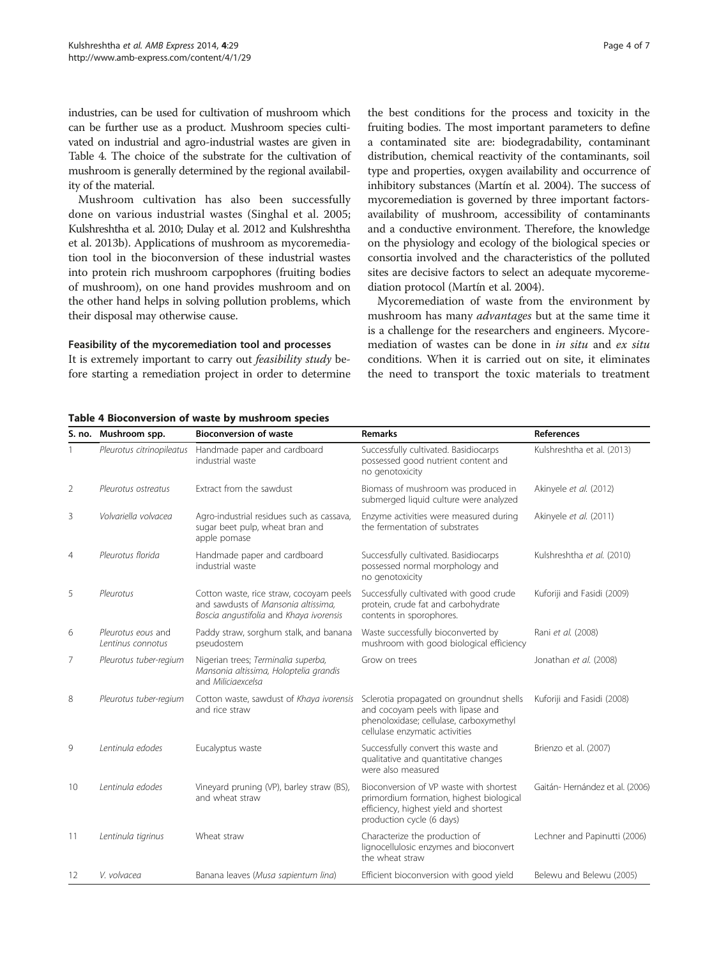industries, can be used for cultivation of mushroom which can be further use as a product. Mushroom species cultivated on industrial and agro-industrial wastes are given in Table 4. The choice of the substrate for the cultivation of mushroom is generally determined by the regional availability of the material.

Mushroom cultivation has also been successfully done on various industrial wastes (Singhal et al. [2005](#page-6-0); Kulshreshtha et al. [2010;](#page-6-0) Dulay et al. [2012](#page-5-0) and Kulshreshtha et al. [2013b](#page-6-0)). Applications of mushroom as mycoremediation tool in the bioconversion of these industrial wastes into protein rich mushroom carpophores (fruiting bodies of mushroom), on one hand provides mushroom and on the other hand helps in solving pollution problems, which their disposal may otherwise cause.

## Feasibility of the mycoremediation tool and processes

It is extremely important to carry out *feasibility study* before starting a remediation project in order to determine

the best conditions for the process and toxicity in the fruiting bodies. The most important parameters to define a contaminated site are: biodegradability, contaminant distribution, chemical reactivity of the contaminants, soil type and properties, oxygen availability and occurrence of inhibitory substances (Martín et al. [2004](#page-6-0)). The success of mycoremediation is governed by three important factorsavailability of mushroom, accessibility of contaminants and a conductive environment. Therefore, the knowledge on the physiology and ecology of the biological species or consortia involved and the characteristics of the polluted sites are decisive factors to select an adequate mycoremediation protocol (Martín et al. [2004\)](#page-6-0).

Mycoremediation of waste from the environment by mushroom has many advantages but at the same time it is a challenge for the researchers and engineers. Mycoremediation of wastes can be done in in situ and ex situ conditions. When it is carried out on site, it eliminates the need to transport the toxic materials to treatment

|                | S. no. Mushroom spp.                    | <b>Bioconversion of waste</b>                                                                                             | <b>Remarks</b>                                                                                                                                             | <b>References</b>              |
|----------------|-----------------------------------------|---------------------------------------------------------------------------------------------------------------------------|------------------------------------------------------------------------------------------------------------------------------------------------------------|--------------------------------|
| 1              | Pleurotus citrinopileatus               | Handmade paper and cardboard<br>industrial waste                                                                          | Successfully cultivated. Basidiocarps<br>possessed good nutrient content and<br>no genotoxicity                                                            | Kulshreshtha et al. (2013)     |
| $\overline{2}$ | Pleurotus ostreatus                     | Extract from the sawdust                                                                                                  | Biomass of mushroom was produced in<br>submerged liquid culture were analyzed                                                                              | Akinyele et al. (2012)         |
| 3              | Volvariella volvacea                    | Agro-industrial residues such as cassava,<br>sugar beet pulp, wheat bran and<br>apple pomase                              | Enzyme activities were measured during<br>the fermentation of substrates                                                                                   | Akinyele et al. (2011)         |
| 4              | Pleurotus florida                       | Handmade paper and cardboard<br>industrial waste                                                                          | Successfully cultivated. Basidiocarps<br>possessed normal morphology and<br>no genotoxicity                                                                | Kulshreshtha et al. (2010)     |
| 5              | Pleurotus                               | Cotton waste, rice straw, cocoyam peels<br>and sawdusts of Mansonia altissima,<br>Boscia angustifolia and Khaya ivorensis | Successfully cultivated with good crude<br>protein, crude fat and carbohydrate<br>contents in sporophores.                                                 | Kuforiji and Fasidi (2009)     |
| 6              | Pleurotus eous and<br>Lentinus connotus | Paddy straw, sorghum stalk, and banana<br>pseudostem                                                                      | Waste successfully bioconverted by<br>mushroom with good biological efficiency                                                                             | Rani et al. (2008)             |
| 7              | Pleurotus tuber-regium                  | Nigerian trees; Terminalia superba,<br>Mansonia altissima, Holoptelia grandis<br>and Miliciaexcelsa                       | Grow on trees                                                                                                                                              | Jonathan et al. (2008)         |
| 8              | Pleurotus tuber-regium                  | Cotton waste, sawdust of Khaya ivorensis<br>and rice straw                                                                | Sclerotia propagated on groundnut shells<br>and cocoyam peels with lipase and<br>phenoloxidase; cellulase, carboxymethyl<br>cellulase enzymatic activities | Kuforiji and Fasidi (2008)     |
| 9              | Lentinula edodes                        | Eucalyptus waste                                                                                                          | Successfully convert this waste and<br>qualitative and quantitative changes<br>were also measured                                                          | Brienzo et al. (2007)          |
| 10             | Lentinula edodes                        | Vineyard pruning (VP), barley straw (BS),<br>and wheat straw                                                              | Bioconversion of VP waste with shortest<br>primordium formation, highest biological<br>efficiency, highest yield and shortest<br>production cycle (6 days) | Gaitán-Hernández et al. (2006) |
| 11             | Lentinula tigrinus                      | Wheat straw                                                                                                               | Characterize the production of<br>lignocellulosic enzymes and bioconvert                                                                                   | Lechner and Papinutti (2006)   |

the wheat straw

12 V. volvacea Banana leaves (Musa sapientum lina) Efficient bioconversion with good yield Belewu and Belewu ([2005\)](#page-5-0)

#### Table 4 Bioconversion of waste by mushroom species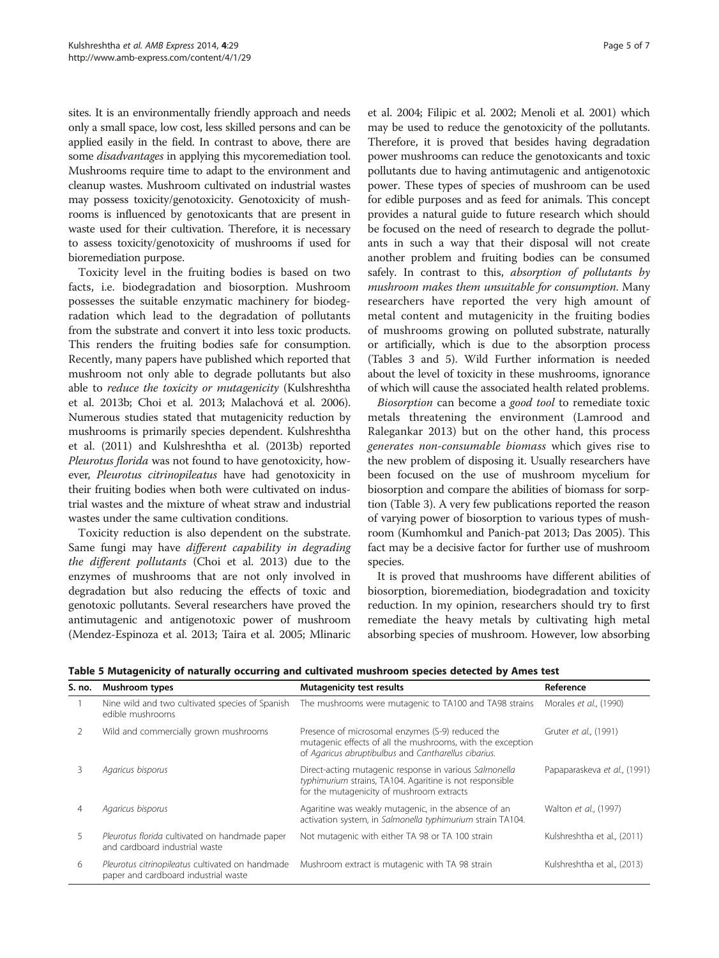sites. It is an environmentally friendly approach and needs only a small space, low cost, less skilled persons and can be applied easily in the field. In contrast to above, there are some disadvantages in applying this mycoremediation tool. Mushrooms require time to adapt to the environment and cleanup wastes. Mushroom cultivated on industrial wastes may possess toxicity/genotoxicity. Genotoxicity of mushrooms is influenced by genotoxicants that are present in waste used for their cultivation. Therefore, it is necessary to assess toxicity/genotoxicity of mushrooms if used for bioremediation purpose.

Toxicity level in the fruiting bodies is based on two facts, i.e. biodegradation and biosorption. Mushroom possesses the suitable enzymatic machinery for biodegradation which lead to the degradation of pollutants from the substrate and convert it into less toxic products. This renders the fruiting bodies safe for consumption. Recently, many papers have published which reported that mushroom not only able to degrade pollutants but also able to reduce the toxicity or mutagenicity (Kulshreshtha et al. [2013b](#page-6-0); Choi et al. [2013](#page-5-0); Malachová et al. [2006](#page-6-0)). Numerous studies stated that mutagenicity reduction by mushrooms is primarily species dependent. Kulshreshtha et al. [\(2011](#page-5-0)) and Kulshreshtha et al. [\(2013b\)](#page-6-0) reported Pleurotus florida was not found to have genotoxicity, however, Pleurotus citrinopileatus have had genotoxicity in their fruiting bodies when both were cultivated on industrial wastes and the mixture of wheat straw and industrial wastes under the same cultivation conditions.

Toxicity reduction is also dependent on the substrate. Same fungi may have different capability in degrading the different pollutants (Choi et al. [2013](#page-5-0)) due to the enzymes of mushrooms that are not only involved in degradation but also reducing the effects of toxic and genotoxic pollutants. Several researchers have proved the antimutagenic and antigenotoxic power of mushroom (Mendez-Espinoza et al. [2013;](#page-6-0) Taira et al. [2005;](#page-6-0) Mlinaric et al. [2004](#page-6-0); Filipic et al. [2002;](#page-5-0) Menoli et al. [2001\)](#page-6-0) which may be used to reduce the genotoxicity of the pollutants. Therefore, it is proved that besides having degradation power mushrooms can reduce the genotoxicants and toxic pollutants due to having antimutagenic and antigenotoxic power. These types of species of mushroom can be used for edible purposes and as feed for animals. This concept provides a natural guide to future research which should be focused on the need of research to degrade the pollutants in such a way that their disposal will not create another problem and fruiting bodies can be consumed safely. In contrast to this, absorption of pollutants by mushroom makes them unsuitable for consumption. Many researchers have reported the very high amount of metal content and mutagenicity in the fruiting bodies of mushrooms growing on polluted substrate, naturally or artificially, which is due to the absorption process (Tables [3 a](#page-2-0)nd 5). Wild Further information is needed about the level of toxicity in these mushrooms, ignorance of which will cause the associated health related problems.

Biosorption can become a good tool to remediate toxic metals threatening the environment (Lamrood and Ralegankar [2013](#page-6-0)) but on the other hand, this process generates non-consumable biomass which gives rise to the new problem of disposing it. Usually researchers have been focused on the use of mushroom mycelium for biosorption and compare the abilities of biomass for sorption (Table [3\)](#page-2-0). A very few publications reported the reason of varying power of biosorption to various types of mushroom (Kumhomkul and Panich-pat [2013;](#page-6-0) Das [2005\)](#page-5-0). This fact may be a decisive factor for further use of mushroom species.

It is proved that mushrooms have different abilities of biosorption, bioremediation, biodegradation and toxicity reduction. In my opinion, researchers should try to first remediate the heavy metals by cultivating high metal absorbing species of mushroom. However, low absorbing

| Table 5 Mutagenicity of naturally occurring and cultivated mushroom species detected by Ames test |  |  |  |
|---------------------------------------------------------------------------------------------------|--|--|--|
|---------------------------------------------------------------------------------------------------|--|--|--|

| S. no. | Mushroom types                                                                           | <b>Mutagenicity test results</b>                                                                                                                                       | Reference                    |
|--------|------------------------------------------------------------------------------------------|------------------------------------------------------------------------------------------------------------------------------------------------------------------------|------------------------------|
|        | Nine wild and two cultivated species of Spanish<br>edible mushrooms                      | The mushrooms were mutagenic to TA100 and TA98 strains                                                                                                                 | Morales et al., (1990)       |
|        | Wild and commercially grown mushrooms                                                    | Presence of microsomal enzymes (S-9) reduced the<br>mutagenic effects of all the mushrooms, with the exception<br>of Agaricus abruptibulbus and Cantharellus cibarius. | Gruter et al., (1991)        |
|        | Agaricus bisporus                                                                        | Direct-acting mutagenic response in various Salmonella<br>typhimurium strains, TA104. Agaritine is not responsible<br>for the mutagenicity of mushroom extracts        | Papaparaskeva et al., (1991) |
|        | Agaricus bisporus                                                                        | Agaritine was weakly mutagenic, in the absence of an<br>activation system, in Salmonella typhimurium strain TA104.                                                     | Walton et al., (1997)        |
| 5.     | Pleurotus florida cultivated on handmade paper<br>and cardboard industrial waste         | Not mutagenic with either TA 98 or TA 100 strain                                                                                                                       | Kulshreshtha et al., (2011)  |
| 6      | Pleurotus citrinopileatus cultivated on handmade<br>paper and cardboard industrial waste | Mushroom extract is mutagenic with TA 98 strain                                                                                                                        | Kulshreshtha et al., (2013)  |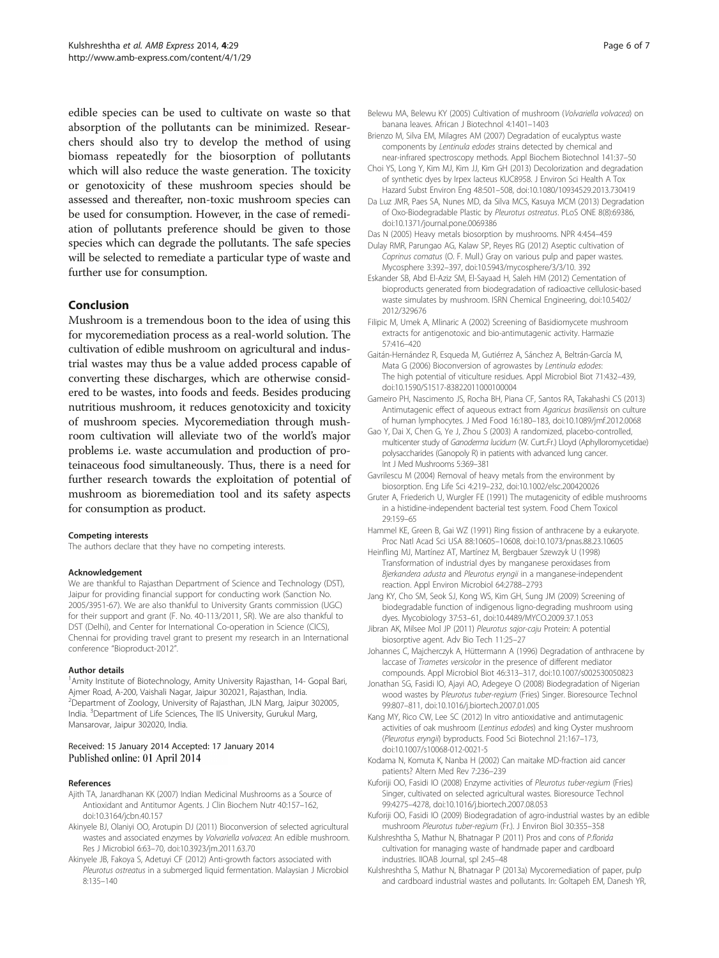<span id="page-5-0"></span>edible species can be used to cultivate on waste so that absorption of the pollutants can be minimized. Researchers should also try to develop the method of using biomass repeatedly for the biosorption of pollutants which will also reduce the waste generation. The toxicity or genotoxicity of these mushroom species should be assessed and thereafter, non-toxic mushroom species can be used for consumption. However, in the case of remediation of pollutants preference should be given to those species which can degrade the pollutants. The safe species will be selected to remediate a particular type of waste and further use for consumption.

# Conclusion

Mushroom is a tremendous boon to the idea of using this for mycoremediation process as a real-world solution. The cultivation of edible mushroom on agricultural and industrial wastes may thus be a value added process capable of converting these discharges, which are otherwise considered to be wastes, into foods and feeds. Besides producing nutritious mushroom, it reduces genotoxicity and toxicity of mushroom species. Mycoremediation through mushroom cultivation will alleviate two of the world's major problems i.e. waste accumulation and production of proteinaceous food simultaneously. Thus, there is a need for further research towards the exploitation of potential of mushroom as bioremediation tool and its safety aspects for consumption as product.

#### Competing interests

The authors declare that they have no competing interests.

#### Acknowledgement

We are thankful to Rajasthan Department of Science and Technology (DST), Jaipur for providing financial support for conducting work (Sanction No. 2005/3951-67). We are also thankful to University Grants commission (UGC) for their support and grant (F. No. 40-113/2011, SR). We are also thankful to DST (Delhi), and Center for International Co-operation in Science (CICS), Chennai for providing travel grant to present my research in an International conference "Bioproduct-2012".

#### Author details

<sup>1</sup> Amity Institute of Biotechnology, Amity University Rajasthan, 14- Gopal Bari, Ajmer Road, A-200, Vaishali Nagar, Jaipur 302021, Rajasthan, India. <sup>2</sup> Department of Zoology, University of Rajasthan, JLN Marg, Jaipur 302005, India. <sup>3</sup>Department of Life Sciences, The IIS University, Gurukul Marg, Mansarovar, Jaipur 302020, India.

## Received: 15 January 2014 Accepted: 17 January 2014 Published online: 01 April 2014

#### References

- Ajith TA, Janardhanan KK (2007) Indian Medicinal Mushrooms as a Source of Antioxidant and Antitumor Agents. J Clin Biochem Nutr 40:157–162, doi:10.3164/jcbn.40.157
- Akinyele BJ, Olaniyi OO, Arotupin DJ (2011) Bioconversion of selected agricultural wastes and associated enzymes by Volvariella volvacea: An edible mushroom. Res J Microbiol 6:63–70, doi:10.3923/jm.2011.63.70
- Akinyele JB, Fakoya S, Adetuyi CF (2012) Anti-growth factors associated with Pleurotus ostreatus in a submerged liquid fermentation. Malaysian J Microbiol 8:135–140
- Belewu MA, Belewu KY (2005) Cultivation of mushroom (Volvariella volvacea) on banana leaves. African J Biotechnol 4:1401–1403
- Brienzo M, Silva EM, Milagres AM (2007) Degradation of eucalyptus waste components by Lentinula edodes strains detected by chemical and near-infrared spectroscopy methods. Appl Biochem Biotechnol 141:37–50
- Choi YS, Long Y, Kim MJ, Kim JJ, Kim GH (2013) Decolorization and degradation of synthetic dyes by Irpex lacteus KUC8958. J Environ Sci Health A Tox Hazard Subst Environ Eng 48:501–508, doi:10.1080/10934529.2013.730419
- Da Luz JMR, Paes SA, Nunes MD, da Silva MCS, Kasuya MCM (2013) Degradation of Oxo-Biodegradable Plastic by Pleurotus ostreatus. PLoS ONE 8(8):69386, doi:10.1371/journal.pone.0069386
- Das N (2005) Heavy metals biosorption by mushrooms. NPR 4:454–459
- Dulay RMR, Parungao AG, Kalaw SP, Reyes RG (2012) Aseptic cultivation of Coprinus comatus (O. F. Mull.) Gray on various pulp and paper wastes. Mycosphere 3:392–397, doi:10.5943/mycosphere/3/3/10. 392
- Eskander SB, Abd El-Aziz SM, El-Sayaad H, Saleh HM (2012) Cementation of bioproducts generated from biodegradation of radioactive cellulosic-based waste simulates by mushroom. ISRN Chemical Engineering, doi:10.5402/ 2012/329676
- Filipic M, Umek A, Mlinaric A (2002) Screening of Basidiomycete mushroom extracts for antigenotoxic and bio-antimutagenic activity. Harmazie 57:416–420
- Gaitán-Hernández R, Esqueda M, Gutiérrez A, Sánchez A, Beltrán-García M, Mata G (2006) Bioconversion of agrowastes by Lentinula edodes: The high potential of viticulture residues. Appl Microbiol Biot 71:432–439, doi:10.1590/S1517-83822011000100004
- Gameiro PH, Nascimento JS, Rocha BH, Piana CF, Santos RA, Takahashi CS (2013) Antimutagenic effect of aqueous extract from Agaricus brasiliensis on culture of human lymphocytes. J Med Food 16:180–183, doi:10.1089/jmf.2012.0068
- Gao Y, Dai X, Chen G, Ye J, Zhou S (2003) A randomized, placebo-controlled, multicenter study of Ganoderma lucidum (W. Curt.:Fr.) Lloyd (Aphylloromycetidae) polysaccharides (Ganopoly R) in patients with advanced lung cancer. Int J Med Mushrooms 5:369–381
- Gavrilescu M (2004) Removal of heavy metals from the environment by biosorption. Eng Life Sci 4:219–232, doi:10.1002/elsc.200420026
- Gruter A, Friederich U, Wurgler FE (1991) The mutagenicity of edible mushrooms in a histidine-independent bacterial test system. Food Chem Toxicol 29:159–65
- Hammel KE, Green B, Gai WZ (1991) Ring fission of anthracene by a eukaryote. Proc Natl Acad Sci USA 88:10605–10608, doi:10.1073/pnas.88.23.10605
- Heinfling MJ, Martínez AT, Martínez M, Bergbauer Szewzyk U (1998) Transformation of industrial dyes by manganese peroxidases from Bjerkandera adusta and Pleurotus eryngii in a manganese-independent reaction. Appl Environ Microbiol 64:2788–2793
- Jang KY, Cho SM, Seok SJ, Kong WS, Kim GH, Sung JM (2009) Screening of biodegradable function of indigenous ligno-degrading mushroom using dyes. Mycobiology 37:53–61, doi:10.4489/MYCO.2009.37.1.053
- Jibran AK, Milsee Mol JP (2011) Pleurotus sajor-caju Protein: A potential biosorptive agent. Adv Bio Tech 11:25–27
- Johannes C, Majcherczyk A, Hüttermann A (1996) Degradation of anthracene by laccase of Trametes versicolor in the presence of different mediator compounds. Appl Microbiol Biot 46:313–317, doi:10.1007/s002530050823
- Jonathan SG, Fasidi IO, Ajayi AO, Adegeye O (2008) Biodegradation of Nigerian wood wastes by Pleurotus tuber-regium (Fries) Singer. Bioresource Technol 99:807–811, doi:10.1016/j.biortech.2007.01.005
- Kang MY, Rico CW, Lee SC (2012) In vitro antioxidative and antimutagenic activities of oak mushroom (Lentinus edodes) and king Oyster mushroom (Pleurotus eryngii) byproducts. Food Sci Biotechnol 21:167–173, doi:10.1007/s10068-012-0021-5
- Kodama N, Komuta K, Nanba H (2002) Can maitake MD-fraction aid cancer patients? Altern Med Rev 7:236–239
- Kuforiji OO, Fasidi IO (2008) Enzyme activities of Pleurotus tuber-regium (Fries) Singer, cultivated on selected agricultural wastes. Bioresource Technol 99:4275–4278, doi:10.1016/j.biortech.2007.08.053
- Kuforiji OO, Fasidi IO (2009) Biodegradation of agro-industrial wastes by an edible mushroom Pleurotus tuber-regium (Fr.). J Environ Biol 30:355–358
- Kulshreshtha S, Mathur N, Bhatnagar P (2011) Pros and cons of P.florida cultivation for managing waste of handmade paper and cardboard industries. IIOAB Journal, spl 2:45–48
- Kulshreshtha S, Mathur N, Bhatnagar P (2013a) Mycoremediation of paper, pulp and cardboard industrial wastes and pollutants. In: Goltapeh EM, Danesh YR,